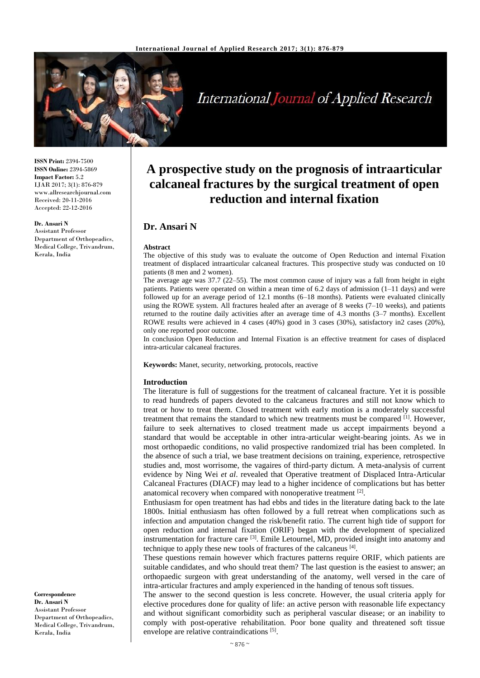

# **International Journal of Applied Research**

**ISSN Print:** 2394-7500 **ISSN Online:** 2394-5869 **Impact Factor:** 5.2 IJAR 2017; 3(1): 876-879 www.allresearchjournal.com Received: 20-11-2016 Accepted: 22-12-2016

**Dr. Ansari N**

Assistant Professor Department of Orthopeadics, Medical College, Trivandrum, Kerala, India

**A prospective study on the prognosis of intraarticular calcaneal fractures by the surgical treatment of open reduction and internal fixation**

## **Dr. Ansari N**

#### **Abstract**

The objective of this study was to evaluate the outcome of Open Reduction and internal Fixation treatment of displaced intraarticular calcaneal fractures. This prospective study was conducted on 10 patients (8 men and 2 women).

The average age was 37.7 (22–55). The most common cause of injury was a fall from height in eight patients. Patients were operated on within a mean time of 6.2 days of admission  $(1-11)$  days) and were followed up for an average period of 12.1 months (6–18 months). Patients were evaluated clinically using the ROWE system. All fractures healed after an average of 8 weeks (7–10 weeks), and patients returned to the routine daily activities after an average time of 4.3 months (3–7 months). Excellent ROWE results were achieved in 4 cases (40%) good in 3 cases (30%), satisfactory in2 cases (20%), only one reported poor outcome.

In conclusion Open Reduction and Internal Fixation is an effective treatment for cases of displaced intra-articular calcaneal fractures.

**Keywords:** Manet, security, networking, protocols, reactive

#### **Introduction**

The literature is full of suggestions for the treatment of calcaneal fracture. Yet it is possible to read hundreds of papers devoted to the calcaneus fractures and still not know which to treat or how to treat them. Closed treatment with early motion is a moderately successful treatment that remains the standard to which new treatments must be compared <sup>[1]</sup>. However, failure to seek alternatives to closed treatment made us accept impairments beyond a standard that would be acceptable in other intra-articular weight-bearing joints. As we in most orthopaedic conditions, no valid prospective randomized trial has been completed. In the absence of such a trial, we base treatment decisions on training, experience, retrospective studies and, most worrisome, the vagaires of third-party dictum. A meta-analysis of current evidence by Ning Wei *et al*. revealed that Operative treatment of Displaced Intra-Articular Calcaneal Fractures (DIACF) may lead to a higher incidence of complications but has better anatomical recovery when compared with nonoperative treatment [2].

Enthusiasm for open treatment has had ebbs and tides in the literature dating back to the late 1800s. Initial enthusiasm has often followed by a full retreat when complications such as infection and amputation changed the risk/benefit ratio. The current high tide of support for open reduction and internal fixation (ORIF) began with the development of specialized instrumentation for fracture care <sup>[3]</sup>. Emile Letournel, MD, provided insight into anatomy and technique to apply these new tools of fractures of the calcaneus [4].

These questions remain however which fractures patterns require ORIF, which patients are suitable candidates, and who should treat them? The last question is the easiest to answer; an orthopaedic surgeon with great understanding of the anatomy, well versed in the care of intra-articular fractures and amply experienced in the handing of tenous soft tissues.

The answer to the second question is less concrete. However, the usual criteria apply for elective procedures done for quality of life: an active person with reasonable life expectancy and without significant comorbidity such as peripheral vascular disease; or an inability to comply with post-operative rehabilitation. Poor bone quality and threatened soft tissue envelope are relative contraindications [5].

**Correspondence Dr. Ansari N** Assistant Professor Department of Orthopeadics, Medical College, Trivandrum, Kerala, India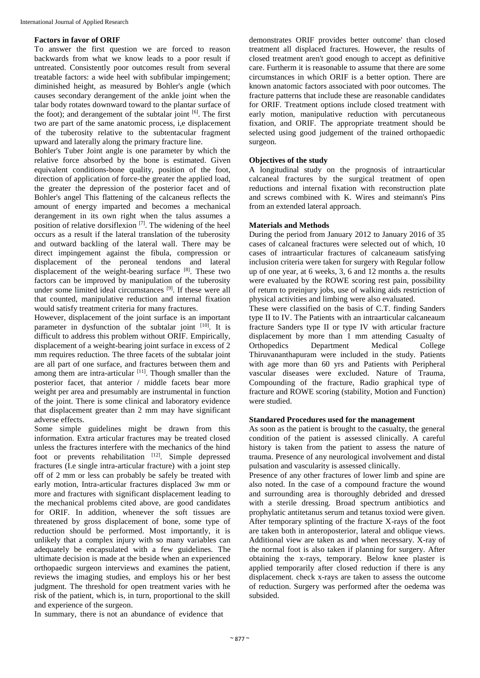#### **Factors in favor of ORIF**

To answer the first question we are forced to reason backwards from what we know leads to a poor result if untreated. Consistently poor outcomes result from several treatable factors: a wide heel with subfibular impingement; diminished height, as measured by Bohler's angle (which causes secondary derangement of the ankle joint when the talar body rotates downward toward to the plantar surface of the foot); and derangement of the subtalar joint <sup>[6]</sup>. The first two are part of the same anatomic process, i,e displacement of the tuberosity relative to the subtentacular fragment upward and laterally along the primary fracture line.

Bohler's Tuber Joint angle is one parameter by which the relative force absorbed by the bone is estimated. Given equivalent conditions-bone quality, position of the foot, direction of application of force-the greater the applied load, the greater the depression of the posterior facet and of Bohler's angel This flattening of the calcaneus reflects the amount of energy imparted and becomes a mechanical derangement in its own right when the talus assumes a position of relative dorsiflexion  $[7]$ . The widening of the heel occurs as a result if the lateral translation of the tuberosity and outward backling of the lateral wall. There may be direct impingement against the fibula, compression or displacement of the peroneal tendons and lateral displacement of the weight-bearing surface [8]. These two factors can be improved by manipulation of the tuberosity under some limited ideal circumstances [9] . If these were all that counted, manipulative reduction and internal fixation would satisfy treatment criteria for many fractures.

However, displacement of the joint surface is an important parameter in dysfunction of the subtalar joint [10]. It is difficult to address this problem without ORIF. Empirically, displacement of a weight-bearing joint surface in excess of 2 mm requires reduction. The three facets of the subtalar joint are all part of one surface, and fractures between them and among them are intra-articular  $[11]$ . Though smaller than the posterior facet, that anterior / middle facets bear more weight per area and presumably are instrumental in function of the joint. There is some clinical and laboratory evidence that displacement greater than 2 mm may have significant adverse effects.

Some simple guidelines might be drawn from this information. Extra articular fractures may be treated closed unless the fractures interfere with the mechanics of the hind foot or prevents rehabilitation [12]. Simple depressed fractures (I.e single intra-articular fracture) with a joint step off of 2 mm or less can probably be safely be treated with early motion, Intra-articular fractures displaced 3w mm or more and fractures with significant displacement leading to the mechanical problems cited above, are good candidates for ORIF. In addition, whenever the soft tissues are threatened by gross displacement of bone, some type of reduction should be performed. Most importantly, it is unlikely that a complex injury with so many variables can adequately be encapsulated with a few guidelines. The ultimate decision is made at the beside when an experienced orthopaedic surgeon interviews and examines the patient, reviews the imaging studies, and employs his or her best judgment. The threshold for open treatment varies with he risk of the patient, which is, in turn, proportional to the skill and experience of the surgeon.

In summary, there is not an abundance of evidence that

demonstrates ORIF provides better outcome' than closed treatment all displaced fractures. However, the results of closed treatment aren't good enough to accept as definitive care. Furtherm it is reasonable to assume that there are some circumstances in which ORIF is a better option. There are known anatomic factors associated with poor outcomes. The fracture patterns that include these are reasonable candidates for ORIF. Treatment options include closed treatment with early motion, manipulative reduction with percutaneous fixation, and ORIF. The appropriate treatment should be selected using good judgement of the trained orthopaedic surgeon.

#### **Objectives of the study**

A longitudinal study on the prognosis of intraarticular calcaneal fractures by the surgical treatment of open reductions and internal fixation with reconstruction plate and screws combined with K. Wires and steimann's Pins from an extended lateral approach.

#### **Materials and Methods**

During the period from January 2012 to January 2016 of 35 cases of calcaneal fractures were selected out of which, 10 cases of intraarticular fractures of calcaneaum satisfying inclusion criteria were taken for surgery with Regular follow up of one year, at 6 weeks, 3, 6 and 12 months a. the results were evaluated by the ROWE scoring rest pain, possibility of return to preinjury jobs, use of walking aids restriction of physical activities and limbing were also evaluated.

These were classified on the basis of C.T. finding Sanders type II to IV. The Patients with an intraarticular calcaneaum fracture Sanders type II or type IV with articular fracture displacement by more than 1 mm attending Casualty of Orthopedics Department Medical College Thiruvananthapuram were included in the study. Patients with age more than 60 yrs and Patients with Peripheral vascular diseases were excluded. Nature of Trauma, Compounding of the fracture, Radio graphical type of fracture and ROWE scoring (stability, Motion and Function) were studied.

#### **Standared Procedures used for the management**

As soon as the patient is brought to the casualty, the general condition of the patient is assessed clinically. A careful history is taken from the patient to assess the nature of trauma. Presence of any neurological involvement and distal pulsation and vascularity is assessed clinically.

Presence of any other fractures of lower limb and spine are also noted. In the case of a compound fracture the wound and surrounding area is thoroughly debrided and dressed with a sterile dressing. Broad spectrum antibiotics and prophylatic antitetanus serum and tetanus toxiod were given. After temporary splinting of the fracture X-rays of the foot are taken both in anteroposterior, lateral and oblique views. Additional view are taken as and when necessary. X-ray of the normal foot is also taken if planning for surgery. After obtaining the x-rays, temporary. Below knee plaster is applied temporarily after closed reduction if there is any displacement. check x-rays are taken to assess the outcome of reduction. Surgery was performed after the oedema was subsided.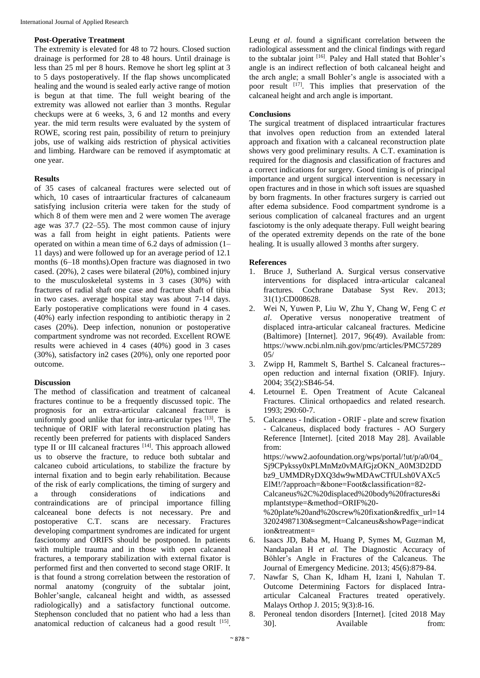#### **Post-Operative Treatment**

The extremity is elevated for 48 to 72 hours. Closed suction drainage is performed for 28 to 48 hours. Until drainage is less than 25 ml per 8 hours. Remove he short leg splint at 3 to 5 days postoperatively. If the flap shows uncomplicated healing and the wound is sealed early active range of motion is begun at that time. The full weight bearing of the extremity was allowed not earlier than 3 months. Regular checkups were at 6 weeks, 3, 6 and 12 months and every year. the mid term results were evaluated by the system of ROWE, scoring rest pain, possibility of return to preinjury jobs, use of walking aids restriction of physical activities and limbing. Hardware can be removed if asymptomatic at one year.

## **Results**

of 35 cases of calcaneal fractures were selected out of which, 10 cases of intraarticular fractures of calcaneaum satisfying inclusion criteria were taken for the study of which 8 of them were men and 2 were women The average age was 37.7 (22–55). The most common cause of injury was a fall from height in eight patients. Patients were operated on within a mean time of 6.2 days of admission (1– 11 days) and were followed up for an average period of 12.1 months (6–18 months).Open fracture was diagnosed in two cased. (20%), 2 cases were bilateral (20%), combined injury to the musculoskeletal systems in 3 cases (30%) with fractures of radial shaft one case and fracture shaft of tibia in two cases. average hospital stay was about 7-14 days. Early postoperative complications were found in 4 cases. (40%) early infection responding to antibiotic therapy in 2 cases (20%). Deep infection, nonunion or postoperative compartment syndrome was not recorded. Excellent ROWE results were achieved in 4 cases (40%) good in 3 cases (30%), satisfactory in2 cases (20%), only one reported poor outcome.

## **Discussion**

The method of classification and treatment of calcaneal fractures continue to be a frequently discussed topic. The prognosis for an extra-articular calcaneal fracture is uniformly good unlike that for intra-articular types [13]. The technique of ORIF with lateral reconstruction plating has recently been preferred for patients with displaced Sanders type II or III calcaneal fractures [14]. This approach allowed us to observe the fracture, to reduce both subtalar and calcaneo cuboid articulations, to stabilize the fracture by internal fixation and to begin early rehabilitation. Because of the risk of early complications, the timing of surgery and a through considerations of indications and contraindications are of principal importance filling calceaneal bone defects is not necessary. Pre and postoperative C.T. scans are necessary. Fractures developing compartment syndromes are indicated for urgent fasciotomy and ORIFS should be postponed. In patients with multiple trauma and in those with open calcaneal fractures, a temporary stabilization with external fixator is performed first and then converted to second stage ORIF. It is that found a strong correlation between the restoration of normal anatomy (congruity of the subtalar joint, Bohler'sangle, calcaneal height and width, as assessed radiologically) and a satisfactory functional outcome. Stephenson concluded that no patient who had a less than anatomical reduction of calcaneus had a good result [15]. Leung *et al*. found a significant correlation between the radiological assessment and the clinical findings with regard to the subtalar joint [16]. Paley and Hall stated that Bohler's angle is an indirect reflection of both calcaneal height and the arch angle; a small Bohler's angle is associated with a poor result [17]. This implies that preservation of the calcaneal height and arch angle is important.

## **Conclusions**

The surgical treatment of displaced intraarticular fractures that involves open reduction from an extended lateral approach and fixation with a calcaneal reconstruction plate shows very good preliminary results. A C.T. examination is required for the diagnosis and classification of fractures and a correct indications for surgery. Good timing is of principal importance and urgent surgical intervention is necessary in open fractures and in those in which soft issues are squashed by born fragments. In other fractures surgery is carried out after edema subsidence. Food compartment syndrome is a serious complication of calcaneal fractures and an urgent fasciotomy is the only adequate therapy. Full weight bearing of the operated extremity depends on the rate of the bone healing. It is usually allowed 3 months after surgery.

## **References**

- 1. Bruce J, Sutherland A. Surgical versus conservative interventions for displaced intra-articular calcaneal fractures. Cochrane Database Syst Rev. 2013; 31(1):CD008628.
- 2. Wei N, Yuwen P, Liu W, Zhu Y, Chang W, Feng C *et al*. Operative versus nonoperative treatment of displaced intra-articular calcaneal fractures. Medicine (Baltimore) [Internet]. 2017, 96(49). Available from: https://www.ncbi.nlm.nih.gov/pmc/articles/PMC57289 05/
- 3. Zwipp H, Rammelt S, Barthel S. Calcaneal fractures- open reduction and internal fixation (ORIF). Injury. 2004; 35(2):SB46-54.
- 4. Letournel E. Open Treatment of Acute Calcaneal Fractures. Clinical orthopaedics and related research. 1993; 290:60-7.
- 5. Calcaneus Indication ORIF plate and screw fixation - Calcaneus, displaced body fractures - AO Surgery Reference [Internet]. [cited 2018 May 28]. Available from: https://www2.aofoundation.org/wps/portal/!ut/p/a0/04\_ Sj9CPykssy0xPLMnMz0vMAfGjzOKN\_A0M3D2DD bz9\_UMMDRyDXQ3dw9wMDAwCTfULsh0VAXc5 ElM!/?approach=&bone=Foot&classification=82- Calcaneus%2C%20displaced%20body%20fractures&i mplantstype=&method=ORIF%20- %20plate%20and%20screw%20fixation&redfix\_url=14 32024987130&segment=Calcaneus&showPage=indicat
- ion&treatment= 6. Isaacs JD, Baba M, Huang P, Symes M, Guzman M, Nandapalan H *et al.* The Diagnostic Accuracy of Böhler's Angle in Fractures of the Calcaneus. The Journal of Emergency Medicine. 2013; 45(6):879-84.
- 7. Nawfar S, Chan K, Idham H, Izani I, Nahulan T. Outcome Determining Factors for displaced Intraarticular Calcaneal Fractures treated operatively. Malays Orthop J. 2015; 9(3):8-16.
- 8. Peroneal tendon disorders [Internet]. [cited 2018 May 30]. Available from: